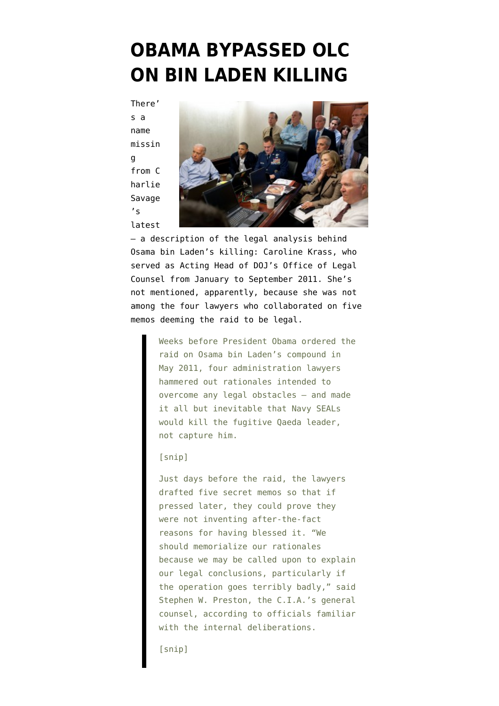## **[OBAMA BYPASSED OLC](https://www.emptywheel.net/2015/10/28/obama-bypassed-olc-on-bin-laden-killing/) [ON BIN LADEN KILLING](https://www.emptywheel.net/2015/10/28/obama-bypassed-olc-on-bin-laden-killing/)**

There' s a name missin g from [C](http://www.nytimes.com/2015/10/29/us/politics/obama-legal-authorization-osama-bin-laden-raid.html) [harlie](http://www.nytimes.com/2015/10/29/us/politics/obama-legal-authorization-osama-bin-laden-raid.html) [Savage](http://www.nytimes.com/2015/10/29/us/politics/obama-legal-authorization-osama-bin-laden-raid.html)  $\overline{\mathbf{s}}$ [latest](http://www.nytimes.com/2015/10/29/us/politics/obama-legal-authorization-osama-bin-laden-raid.html)



— a description of the legal analysis behind Osama bin Laden's killing: Caroline Krass, who served as Acting Head of DOJ's Office of Legal Counsel from January to September 2011. She's not mentioned, apparently, because she was not among the four lawyers who collaborated on five memos deeming the raid to be legal.

> Weeks before President Obama ordered the raid on Osama bin Laden's compound in May 2011, four administration lawyers hammered out rationales intended to overcome any legal obstacles — and made it all but inevitable that Navy SEALs would kill the fugitive Qaeda leader, not capture him.

[snip]

Just days before the raid, the lawyers drafted five secret memos so that if pressed later, they could prove they were not inventing after-the-fact reasons for having blessed it. "We should memorialize our rationales because we may be called upon to explain our legal conclusions, particularly if the operation goes terribly badly," said Stephen W. Preston, the C.I.A.'s general counsel, according to officials familiar with the internal deliberations.

[snip]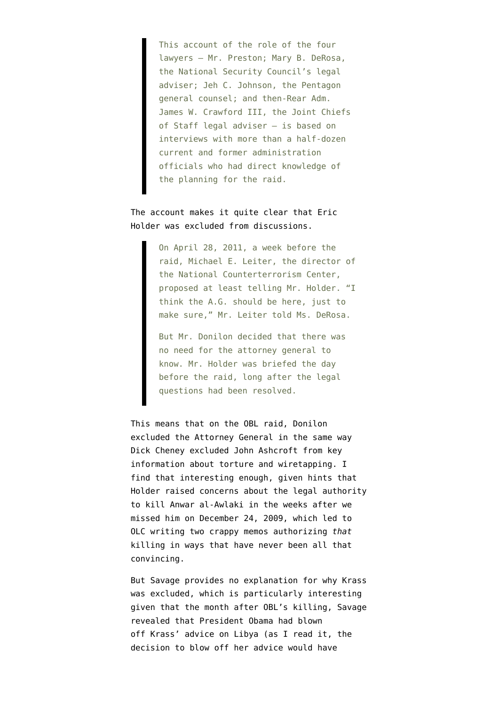This account of the role of the four lawyers — Mr. Preston; Mary B. DeRosa, the National Security Council's legal adviser; Jeh C. Johnson, the Pentagon general counsel; and then-Rear Adm. James W. Crawford III, the Joint Chiefs of Staff legal adviser — is based on interviews with more than a half-dozen current and former administration officials who had direct knowledge of the planning for the raid.

## The account makes it quite clear that Eric Holder was excluded from discussions.

On April 28, 2011, a week before the raid, Michael E. Leiter, the director of the National Counterterrorism Center, proposed at least telling Mr. Holder. "I think the A.G. should be here, just to make sure," Mr. Leiter told Ms. DeRosa.

But Mr. Donilon decided that there was no need for the attorney general to know. Mr. Holder was briefed the day before the raid, long after the legal questions had been resolved.

This means that on the OBL raid, Donilon excluded the Attorney General in the same way Dick Cheney excluded John Ashcroft from key information about torture and wiretapping. I find that interesting enough, given hints that Holder raised concerns about the legal authority to kill Anwar al-Awlaki in the weeks after we missed him on December 24, 2009, which led to OLC writing two crappy memos authorizing *that* killing in ways that have never been all that convincing.

But Savage provides no explanation for why Krass was excluded, which is particularly interesting given that the month after OBL's killing, Savage [revealed](http://www.nytimes.com/2011/06/18/world/africa/18powers.html?_r=1&hp) that President Obama had blown off Krass' advice on Libya (as I read it, the decision to blow off her advice would have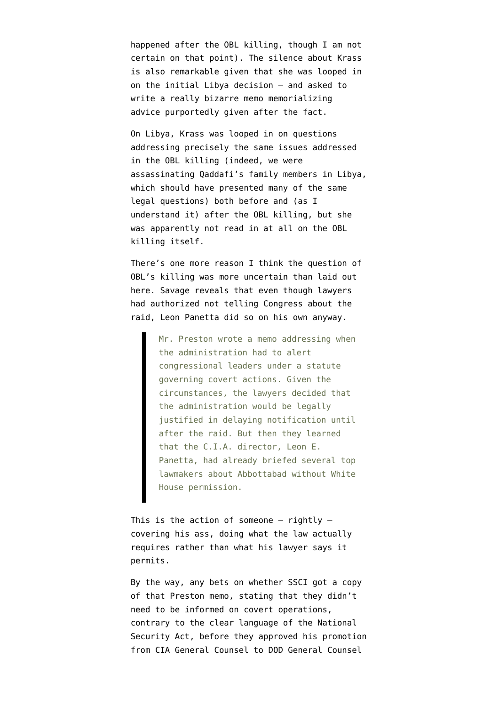happened after the OBL killing, though I am not certain on that point). The silence about Krass is also remarkable given that she was looped in on the initial Libya decision — and asked to write a really [bizarre memo](https://www.emptywheel.net/2011/04/08/olc-memo-as-time-machine/) memorializing advice purportedly given after the fact.

On Libya, Krass was looped in on questions addressing precisely the same issues addressed in the OBL killing (indeed, we were assassinating Qaddafi's family members in Libya, which should have presented many of the same legal questions) both before and (as I understand it) after the OBL killing, but she was apparently not read in at all on the OBL killing itself.

There's one more reason I think the question of OBL's killing was more uncertain than laid out here. Savage reveals that even though lawyers had authorized not telling Congress about the raid, Leon Panetta did so on his own anyway.

> Mr. Preston wrote a memo addressing when the administration had to alert congressional leaders under a statute governing covert actions. Given the circumstances, the lawyers decided that the administration would be legally justified in delaying notification until after the raid. But then they learned that the C.I.A. director, Leon E. Panetta, had already briefed several top lawmakers about Abbottabad without White House permission.

This is the action of someone  $-$  rightly  $$ covering his ass, doing what the law actually requires rather than what his lawyer says it permits.

By the way, any bets on whether SSCI got a copy of that Preston memo, stating that they didn't need to be informed on covert operations, contrary to the clear language of the National Security Act, before they approved his promotion from CIA General Counsel to DOD General Counsel